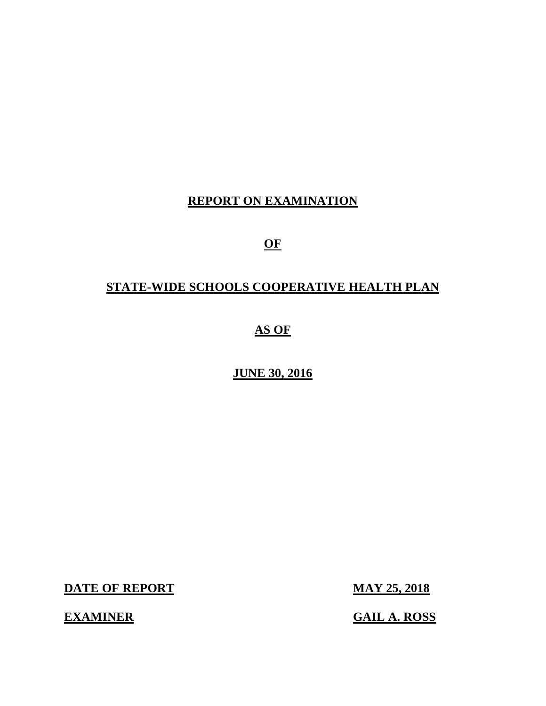#### **REPORT ON EXAMINATION**

**OF** 

## **STATE-WIDE SCHOOLS COOPERATIVE HEALTH PLAN**

## **AS OF**

#### **JUNE 30, 2016**

**DATE OF REPORT MAY 25, 2018** 

**EXAMINER** 

**GAIL A. ROSS**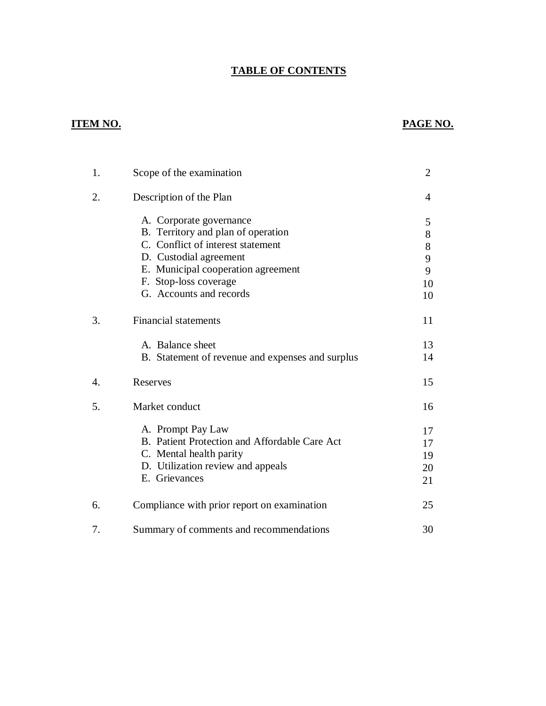#### **TABLE OF CONTENTS**

#### **ITEM NO.**

#### **PAGE NO.**

| 1. | Scope of the examination                                                                                                                                                                                               | $\overline{2}$                        |
|----|------------------------------------------------------------------------------------------------------------------------------------------------------------------------------------------------------------------------|---------------------------------------|
| 2. | Description of the Plan                                                                                                                                                                                                | 4                                     |
|    | A. Corporate governance<br>B. Territory and plan of operation<br>C. Conflict of interest statement<br>D. Custodial agreement<br>E. Municipal cooperation agreement<br>F. Stop-loss coverage<br>G. Accounts and records | 5<br>8<br>$8\,$<br>9<br>9<br>10<br>10 |
| 3. | <b>Financial statements</b>                                                                                                                                                                                            | 11                                    |
|    | A. Balance sheet<br>B. Statement of revenue and expenses and surplus                                                                                                                                                   | 13<br>14                              |
| 4. | Reserves                                                                                                                                                                                                               | 15                                    |
| 5. | Market conduct                                                                                                                                                                                                         | 16                                    |
|    | A. Prompt Pay Law<br>B. Patient Protection and Affordable Care Act<br>C. Mental health parity<br>D. Utilization review and appeals<br>E. Grievances                                                                    | 17<br>17<br>19<br>20<br>21            |
| 6. | Compliance with prior report on examination                                                                                                                                                                            | 25                                    |
| 7. | Summary of comments and recommendations                                                                                                                                                                                | 30                                    |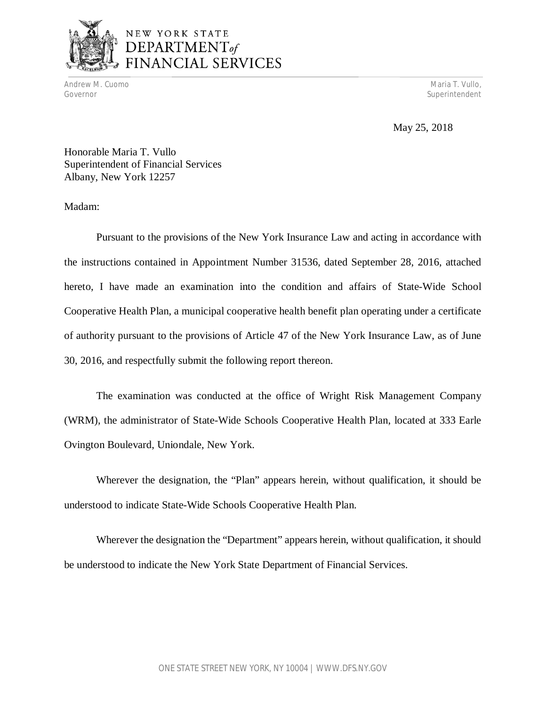

## NEW YORK STATE DEPARTMENT<sub>of</sub> FINANCIAL SERVICES

Andrew M. Cuomo Maria T. Vullo, Andrew Maria T. Vullo, Andrew Maria T. Vullo, Andrew Maria T. Vullo, Andrew Maria T. Vullo, Andrew Maria T. Vullo, Andrew Maria T. Vullo, Andrew Maria T. Vullo, Andrew Maria T. Vullo, Andrew Governor Superintendent Superintendent Superintendent Superintendent Superintendent Superintendent Superintendent

May 25, 2018

 Honorable Maria T. Vullo Superintendent of Financial Services Albany, New York 12257

Madam:

 Pursuant to the provisions of the New York Insurance Law and acting in accordance with the instructions contained in Appointment Number 31536, dated September 28, 2016, attached hereto, I have made an examination into the condition and affairs of State-Wide School Cooperative Health Plan, a municipal cooperative health benefit plan operating under a certificate of authority pursuant to the provisions of Article 47 of the New York Insurance Law, as of June 30, 2016, and respectfully submit the following report thereon.

 (WRM), the administrator of State-Wide Schools Cooperative Health Plan, located at 333 Earle Ovington Boulevard, Uniondale, New York. The examination was conducted at the office of Wright Risk Management Company

 Wherever the designation, the "Plan" appears herein, without qualification, it should be understood to indicate State-Wide Schools Cooperative Health Plan.

 Wherever the designation the "Department" appears herein, without qualification, it should be understood to indicate the New York State Department of Financial Services.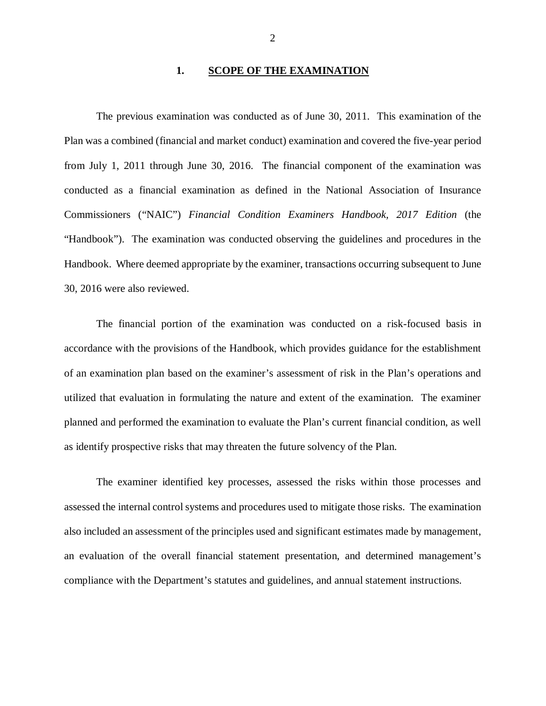#### **1. SCOPE OF THE EXAMINATION**

 The previous examination was conducted as of June 30, 2011. This examination of the Plan was a combined (financial and market conduct) examination and covered the five-year period from July 1, 2011 through June 30, 2016. The financial component of the examination was conducted as a financial examination as defined in the National Association of Insurance Commissioners ("NAIC") *Financial Condition Examiners Handbook, 2017 Edition* (the "Handbook"). The examination was conducted observing the guidelines and procedures in the Handbook. Where deemed appropriate by the examiner, transactions occurring subsequent to June 30, 2016 were also reviewed.

 The financial portion of the examination was conducted on a risk-focused basis in accordance with the provisions of the Handbook, which provides guidance for the establishment of an examination plan based on the examiner's assessment of risk in the Plan's operations and utilized that evaluation in formulating the nature and extent of the examination. The examiner planned and performed the examination to evaluate the Plan's current financial condition, as well as identify prospective risks that may threaten the future solvency of the Plan.

 assessed the internal control systems and procedures used to mitigate those risks. The examination also included an assessment of the principles used and significant estimates made by management, an evaluation of the overall financial statement presentation, and determined management's compliance with the Department's statutes and guidelines, and annual statement instructions. The examiner identified key processes, assessed the risks within those processes and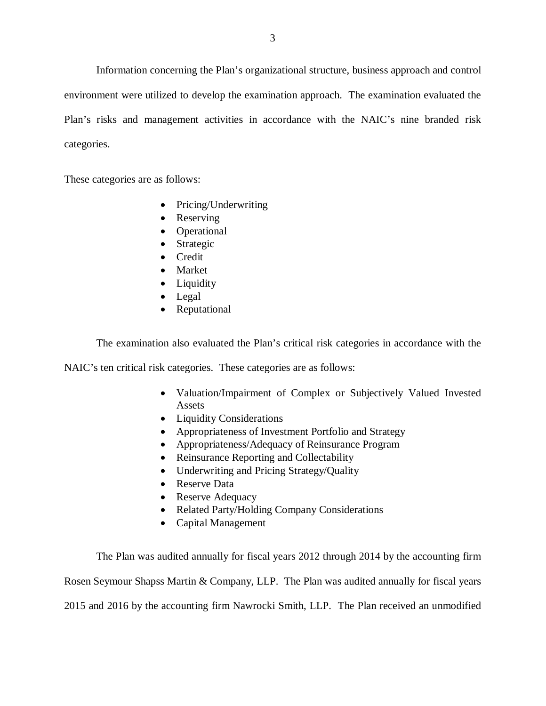Information concerning the Plan's organizational structure, business approach and control environment were utilized to develop the examination approach. The examination evaluated the Plan's risks and management activities in accordance with the NAIC's nine branded risk categories.

These categories are as follows:

- Pricing/Underwriting
- Reserving
- Operational
- Strategic
- Credit
- Market
- Liquidity
- Legal
- Reputational

The examination also evaluated the Plan's critical risk categories in accordance with the

NAIC's ten critical risk categories. These categories are as follows:

- Valuation/Impairment of Complex or Subjectively Valued Invested Assets
- Liquidity Considerations
- Appropriateness of Investment Portfolio and Strategy
- Appropriateness/Adequacy of Reinsurance Program
- Reinsurance Reporting and Collectability
- Underwriting and Pricing Strategy/Quality
- Reserve Data
- Reserve Adequacy
- Related Party/Holding Company Considerations
- Capital Management

 The Plan was audited annually for fiscal years 2012 through 2014 by the accounting firm Rosen Seymour Shapss Martin & Company, LLP. The Plan was audited annually for fiscal years 2015 and 2016 by the accounting firm Nawrocki Smith, LLP. The Plan received an unmodified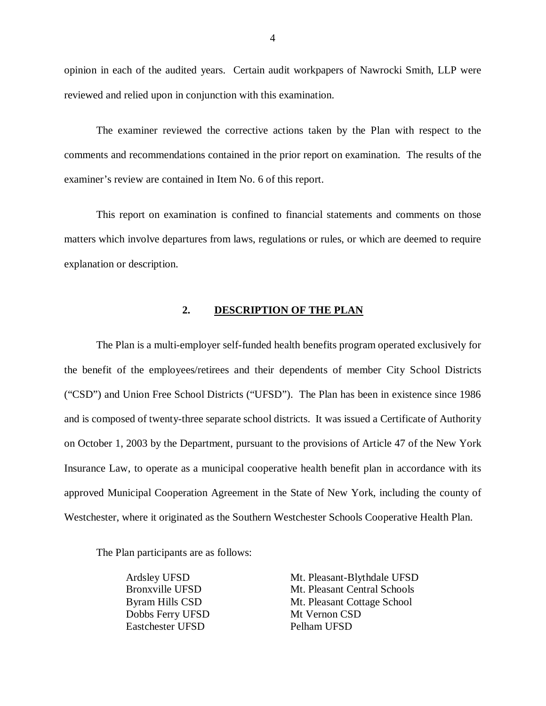opinion in each of the audited years. Certain audit workpapers of Nawrocki Smith, LLP were reviewed and relied upon in conjunction with this examination.

 The examiner reviewed the corrective actions taken by the Plan with respect to the comments and recommendations contained in the prior report on examination. The results of the examiner's review are contained in Item No. 6 of this report.

 This report on examination is confined to financial statements and comments on those matters which involve departures from laws, regulations or rules, or which are deemed to require explanation or description.

#### **2. DESCRIPTION OF THE PLAN**

 The Plan is a multi-employer self-funded health benefits program operated exclusively for the benefit of the employees/retirees and their dependents of member City School Districts ("CSD") and Union Free School Districts ("UFSD"). The Plan has been in existence since 1986 and is composed of twenty-three separate school districts. It was issued a Certificate of Authority on October 1, 2003 by the Department, pursuant to the provisions of Article 47 of the New York Insurance Law, to operate as a municipal cooperative health benefit plan in accordance with its approved Municipal Cooperation Agreement in the State of New York, including the county of Westchester, where it originated as the Southern Westchester Schools Cooperative Health Plan.

The Plan participants are as follows:

Ardsley UFSD **Bronxville UFSD** Byram Hills CSD Dobbs Ferry UFSD Mt Vernon CSD Eastchester UFSD Pelham UFSD

Mt. Pleasant-Blythdale UFSD Mt. Pleasant Central Schools Mt. Pleasant Cottage School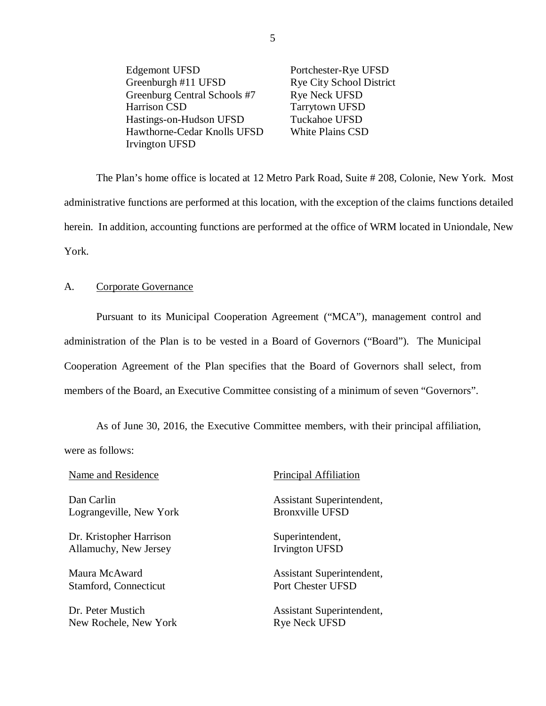**Edgemont UFSD** Greenburgh #11 UFSD Greenburg Central Schools #7 Rye Neck UFSD Harrison CSD Hastings-on-Hudson UFSD Tuckahoe UFSD Hawthorne-Cedar Knolls UFSD White Plains CSD Irvington UFSD Portchester-Rye UFSD Rye City School District Tarrytown UFSD

 administrative functions are performed at this location, with the exception of the claims functions detailed herein. In addition, accounting functions are performed at the office of WRM located in Uniondale, New The Plan's home office is located at 12 Metro Park Road, Suite # 208, Colonie, New York. Most York.

#### A. Corporate Governance

 Pursuant to its Municipal Cooperation Agreement ("MCA"), management control and administration of the Plan is to be vested in a Board of Governors ("Board"). The Municipal Cooperation Agreement of the Plan specifies that the Board of Governors shall select, from members of the Board, an Executive Committee consisting of a minimum of seven "Governors".

 As of June 30, 2016, the Executive Committee members, with their principal affiliation, were as follows:

Name and Residence **Principal Affiliation** 

Dan Carlin Lograngeville, New York Bronxville UFSD

Dr. Kristopher Harrison Superintendent, Allamuchy, New Jersey **Irvington UFSD** 

Maura McAward Stamford, Connecticut Port Chester UFSD

Dr. Peter Mustich New Rochele, New York Rye Neck UFSD

Assistant Superintendent,

Assistant Superintendent,

Assistant Superintendent,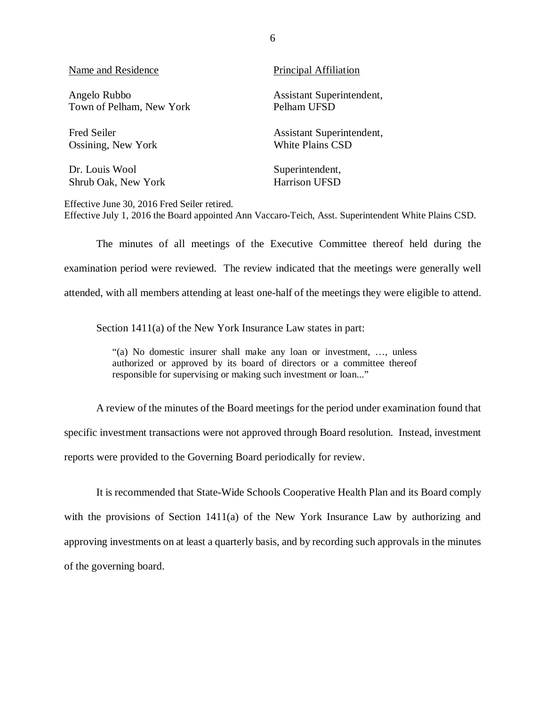| Name and Residence       | Principal Affiliation     |
|--------------------------|---------------------------|
| Angelo Rubbo             | Assistant Superintendent, |
| Town of Pelham, New York | Pelham UFSD               |
| <b>Fred Seiler</b>       | Assistant Superintendent, |
| Ossining, New York       | <b>White Plains CSD</b>   |
| Dr. Louis Wool           | Superintendent,           |
| Shrub Oak, New York      | Harrison UFSD             |

 Effective June 30, 2016 Fred Seiler retired. Effective July 1, 2016 the Board appointed Ann Vaccaro-Teich, Asst. Superintendent White Plains CSD.

 The minutes of all meetings of the Executive Committee thereof held during the examination period were reviewed. The review indicated that the meetings were generally well attended, with all members attending at least one-half of the meetings they were eligible to attend.

Section 1411(a) of the New York Insurance Law states in part:

 "(a) No domestic insurer shall make any loan or investment, …, unless authorized or approved by its board of directors or a committee thereof responsible for supervising or making such investment or loan..."

 A review of the minutes of the Board meetings for the period under examination found that specific investment transactions were not approved through Board resolution. Instead, investment reports were provided to the Governing Board periodically for review.

 It is recommended that State-Wide Schools Cooperative Health Plan and its Board comply with the provisions of Section 1411(a) of the New York Insurance Law by authorizing and approving investments on at least a quarterly basis, and by recording such approvals in the minutes of the governing board.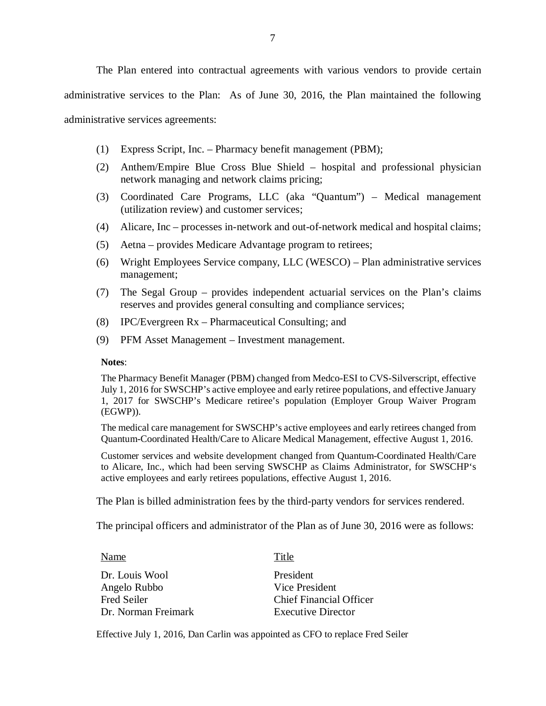The Plan entered into contractual agreements with various vendors to provide certain administrative services to the Plan: As of June 30, 2016, the Plan maintained the following administrative services agreements:

- (1) Express Script, Inc. Pharmacy benefit management (PBM);
- (2) Anthem/Empire Blue Cross Blue Shield hospital and professional physician network managing and network claims pricing;
- (3) Coordinated Care Programs, LLC (aka "Quantum") Medical management (utilization review) and customer services;
- (4) Alicare, Inc processes in-network and out-of-network medical and hospital claims;
- (5) Aetna provides Medicare Advantage program to retirees;
- (6) Wright Employees Service company, LLC (WESCO) Plan administrative services management;
- (7) The Segal Group provides independent actuarial services on the Plan's claims reserves and provides general consulting and compliance services;
- (8) IPC/Evergreen Rx Pharmaceutical Consulting; and
- (9) PFM Asset Management Investment management.

#### **Notes**:

 The Pharmacy Benefit Manager (PBM) changed from Medco-ESI to CVS-Silverscript, effective July 1, 2016 for SWSCHP's active employee and early retiree populations, and effective January 1, 2017 for SWSCHP's Medicare retiree's population (Employer Group Waiver Program (EGWP)).

 The medical care management for SWSCHP's active employees and early retirees changed from Quantum-Coordinated Health/Care to Alicare Medical Management, effective August 1, 2016.

 Customer services and website development changed from Quantum-Coordinated Health/Care to Alicare, Inc., which had been serving SWSCHP as Claims Administrator, for SWSCHP's active employees and early retirees populations, effective August 1, 2016.

The Plan is billed administration fees by the third-party vendors for services rendered.

The principal officers and administrator of the Plan as of June 30, 2016 were as follows:

| Name                | Title                          |
|---------------------|--------------------------------|
| Dr. Louis Wool      | President                      |
| Angelo Rubbo        | Vice President                 |
| <b>Fred Seiler</b>  | <b>Chief Financial Officer</b> |
| Dr. Norman Freimark | <b>Executive Director</b>      |

Effective July 1, 2016, Dan Carlin was appointed as CFO to replace Fred Seiler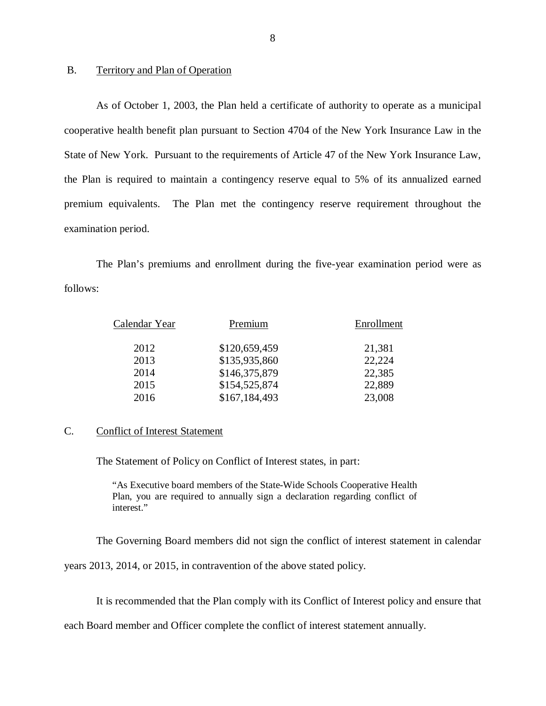#### $B<sub>1</sub>$ Territory and Plan of Operation

 As of October 1, 2003, the Plan held a certificate of authority to operate as a municipal cooperative health benefit plan pursuant to Section 4704 of the New York Insurance Law in the State of New York. Pursuant to the requirements of Article 47 of the New York Insurance Law, the Plan is required to maintain a contingency reserve equal to 5% of its annualized earned premium equivalents. examination period. The Plan met the contingency reserve requirement throughout the

follows: The Plan's premiums and enrollment during the five-year examination period were as follows:<br>
Calendar Year Premium Premium Enrollment

| Calendar Year | Premium       | Enrollment |
|---------------|---------------|------------|
| 2012          | \$120,659,459 | 21,381     |
| 2013          | \$135,935,860 | 22,224     |
| 2014          | \$146,375,879 | 22,385     |
| 2015          | \$154,525,874 | 22,889     |
| 2016          | \$167,184,493 | 23,008     |

#### C. Conflict of Interest Statement

The Statement of Policy on Conflict of Interest states, in part:

 "As Executive board members of the State-Wide Schools Cooperative Health Plan, you are required to annually sign a declaration regarding conflict of interest."

The Governing Board members did not sign the conflict of interest statement in calendar

years 2013, 2014, or 2015, in contravention of the above stated policy.

It is recommended that the Plan comply with its Conflict of Interest policy and ensure that

each Board member and Officer complete the conflict of interest statement annually.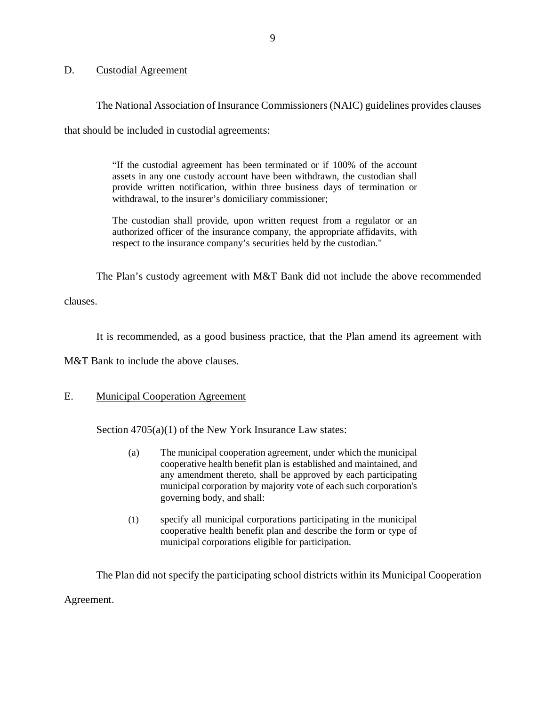#### D. Custodial Agreement

The National Association of Insurance Commissioners (NAIC) guidelines provides clauses

that should be included in custodial agreements:

 "If the custodial agreement has been terminated or if 100% of the account assets in any one custody account have been withdrawn, the custodian shall provide written notification, within three business days of termination or withdrawal, to the insurer's domiciliary commissioner;

 The custodian shall provide, upon written request from a regulator or an authorized officer of the insurance company, the appropriate affidavits, with respect to the insurance company's securities held by the custodian."

The Plan's custody agreement with M&T Bank did not include the above recommended

clauses.

It is recommended, as a good business practice, that the Plan amend its agreement with

M&T Bank to include the above clauses.

#### E. Municipal Cooperation Agreement

Section 4705(a)(1) of the New York Insurance Law states:

- (a) The municipal cooperation agreement, under which the municipal cooperative health benefit plan is established and maintained, and any amendment thereto, shall be approved by each participating municipal corporation by majority vote of each such corporation's governing body, and shall:
- (1) specify all municipal corporations participating in the municipal cooperative health benefit plan and describe the form or type of municipal corporations eligible for participation.

 The Plan did not specify the participating school districts within its Municipal Cooperation Agreement.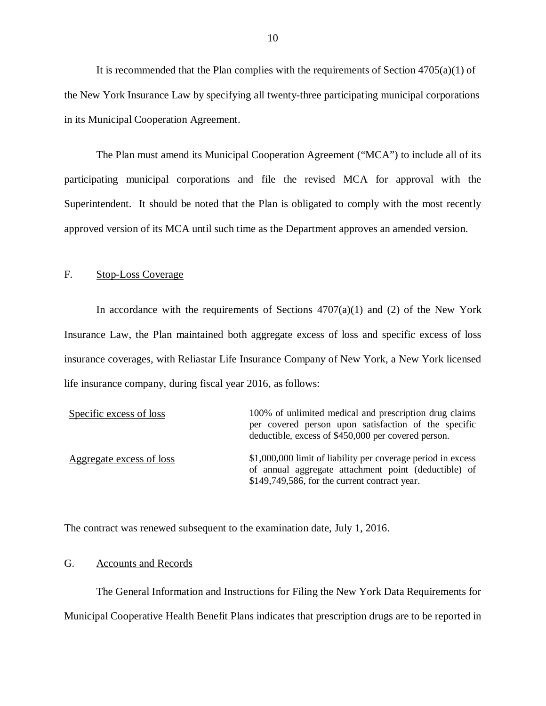It is recommended that the Plan complies with the requirements of Section  $4705(a)(1)$  of the New York Insurance Law by specifying all twenty-three participating municipal corporations in its Municipal Cooperation Agreement.

 The Plan must amend its Municipal Cooperation Agreement ("MCA") to include all of its participating municipal corporations and file the revised MCA for approval with the Superintendent. It should be noted that the Plan is obligated to comply with the most recently approved version of its MCA until such time as the Department approves an amended version.

#### F. Stop-Loss Coverage

In accordance with the requirements of Sections  $4707(a)(1)$  and (2) of the New York Insurance Law, the Plan maintained both aggregate excess of loss and specific excess of loss insurance coverages, with Reliastar Life Insurance Company of New York, a New York licensed life insurance company, during fiscal year 2016, as follows:

| Specific excess of loss  | 100% of unlimited medical and prescription drug claims<br>per covered person upon satisfaction of the specific<br>deductible, excess of \$450,000 per covered person. |
|--------------------------|-----------------------------------------------------------------------------------------------------------------------------------------------------------------------|
| Aggregate excess of loss | \$1,000,000 limit of liability per coverage period in excess<br>of annual aggregate attachment point (deductible) of<br>\$149,749,586, for the current contract year. |

The contract was renewed subsequent to the examination date, July 1, 2016.

#### G. Accounts and Records

 The General Information and Instructions for Filing the New York Data Requirements for Municipal Cooperative Health Benefit Plans indicates that prescription drugs are to be reported in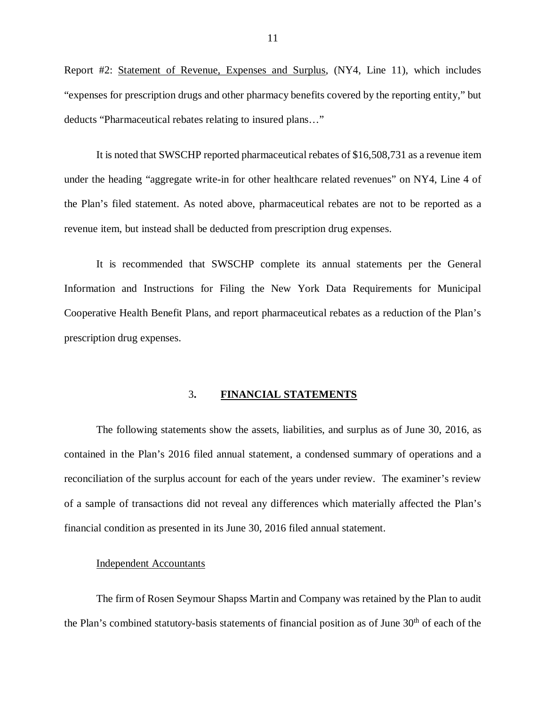Report #2: Statement of Revenue, Expenses and Surplus, (NY4, Line 11), which includes "expenses for prescription drugs and other pharmacy benefits covered by the reporting entity," but deducts "Pharmaceutical rebates relating to insured plans…"

 It is noted that SWSCHP reported pharmaceutical rebates of \$16,508,731 as a revenue item under the heading "aggregate write-in for other healthcare related revenues" on NY4, Line 4 of the Plan's filed statement. As noted above, pharmaceutical rebates are not to be reported as a revenue item, but instead shall be deducted from prescription drug expenses.

 It is recommended that SWSCHP complete its annual statements per the General Information and Instructions for Filing the New York Data Requirements for Municipal Cooperative Health Benefit Plans, and report pharmaceutical rebates as a reduction of the Plan's prescription drug expenses. prescription drug expenses.<br>
3. FINANCIAL STATEMENTS

 The following statements show the assets, liabilities, and surplus as of June 30, 2016, as contained in the Plan's 2016 filed annual statement, a condensed summary of operations and a reconciliation of the surplus account for each of the years under review. The examiner's review of a sample of transactions did not reveal any differences which materially affected the Plan's financial condition as presented in its June 30, 2016 filed annual statement.

#### Independent Accountants

 The firm of Rosen Seymour Shapss Martin and Company was retained by the Plan to audit the Plan's combined statutory-basis statements of financial position as of June 30<sup>th</sup> of each of the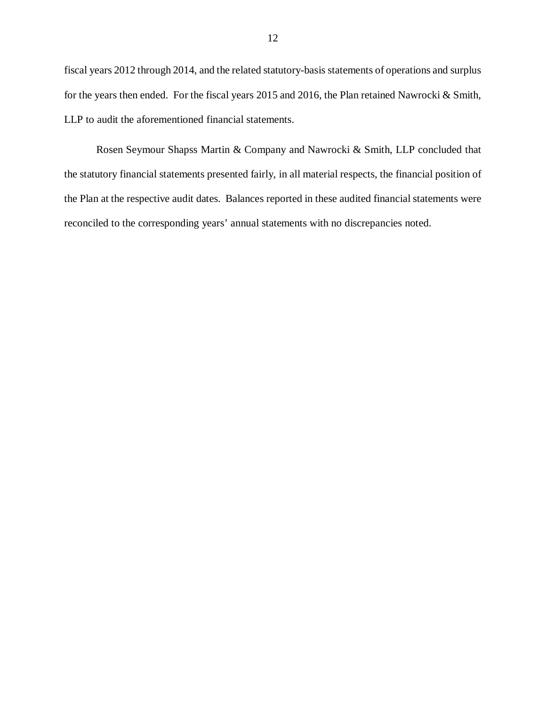fiscal years 2012 through 2014, and the related statutory-basis statements of operations and surplus for the years then ended. For the fiscal years 2015 and 2016, the Plan retained Nawrocki & Smith, LLP to audit the aforementioned financial statements.

 Rosen Seymour Shapss Martin & Company and Nawrocki & Smith, LLP concluded that the statutory financial statements presented fairly, in all material respects, the financial position of the Plan at the respective audit dates. Balances reported in these audited financial statements were reconciled to the corresponding years' annual statements with no discrepancies noted.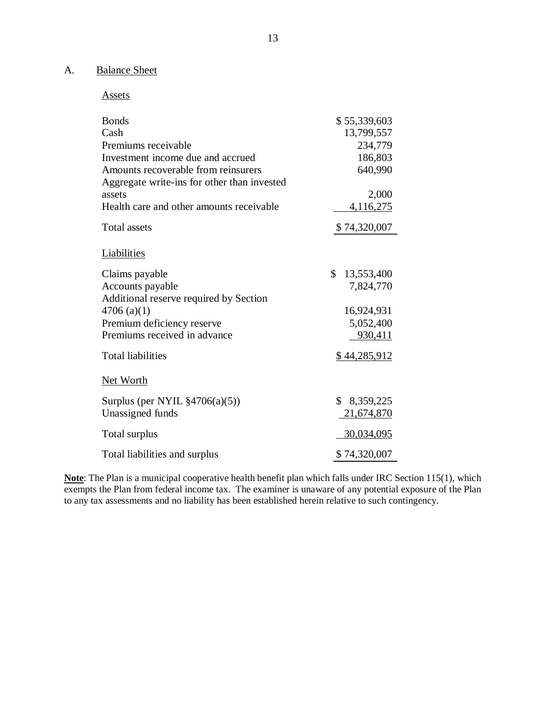#### A. Balance Sheet

Assets

| <b>Bonds</b><br>Cash<br>Premiums receivable<br>Investment income due and accrued<br>Amounts recoverable from reinsurers<br>Aggregate write-ins for other than invested | \$55,339,603<br>13,799,557<br>234,779<br>186,803<br>640,990 |
|------------------------------------------------------------------------------------------------------------------------------------------------------------------------|-------------------------------------------------------------|
| assets                                                                                                                                                                 | 2,000                                                       |
| Health care and other amounts receivable                                                                                                                               | 4,116,275                                                   |
| <b>Total assets</b>                                                                                                                                                    | \$74,320,007                                                |
| Liabilities                                                                                                                                                            |                                                             |
| Claims payable                                                                                                                                                         | \$<br>13,553,400                                            |
| Accounts payable                                                                                                                                                       | 7,824,770                                                   |
| Additional reserve required by Section                                                                                                                                 |                                                             |
| $4706$ (a)(1)                                                                                                                                                          | 16,924,931                                                  |
| Premium deficiency reserve                                                                                                                                             | 5,052,400                                                   |
| Premiums received in advance                                                                                                                                           | 930,411                                                     |
| <b>Total liabilities</b>                                                                                                                                               | \$44,285,912                                                |
| <b>Net Worth</b>                                                                                                                                                       |                                                             |
| Surplus (per NYIL $\S4706(a)(5)$ )                                                                                                                                     | \$8,359,225                                                 |
| Unassigned funds                                                                                                                                                       | 21,674,870                                                  |
| Total surplus                                                                                                                                                          | 30,034,095                                                  |
| Total liabilities and surplus                                                                                                                                          | \$74,320,007                                                |

 **Note**: The Plan is a municipal cooperative health benefit plan which falls under IRC Section 115(1), which exempts the Plan from federal income tax. The examiner is unaware of any potential exposure of the Plan to any tax assessments and no liability has been established herein relative to such contingency.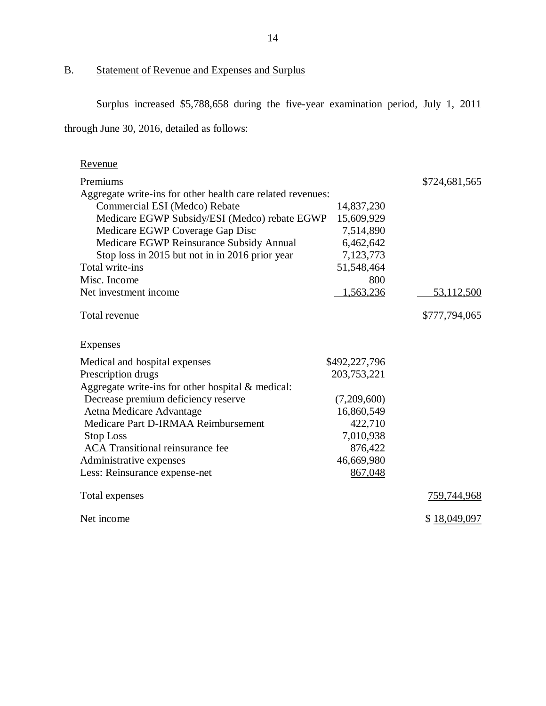B. Statement of Revenue and Expenses and Surplus

Surplus increased \$5,788,658 during the five-year examination period, July 1, 2011

through June 30, 2016, detailed as follows:

| Revenue                                                     |               |               |
|-------------------------------------------------------------|---------------|---------------|
| Premiums                                                    |               | \$724,681,565 |
| Aggregate write-ins for other health care related revenues: |               |               |
| Commercial ESI (Medco) Rebate                               | 14,837,230    |               |
| Medicare EGWP Subsidy/ESI (Medco) rebate EGWP               | 15,609,929    |               |
| Medicare EGWP Coverage Gap Disc                             | 7,514,890     |               |
| Medicare EGWP Reinsurance Subsidy Annual                    | 6,462,642     |               |
| Stop loss in 2015 but not in in 2016 prior year             | 7,123,773     |               |
| Total write-ins                                             | 51,548,464    |               |
| Misc. Income                                                | 800           |               |
| Net investment income                                       | 1,563,236     | 53,112,500    |
| Total revenue                                               |               | \$777,794,065 |
| <b>Expenses</b>                                             |               |               |
| Medical and hospital expenses                               | \$492,227,796 |               |
| Prescription drugs                                          | 203,753,221   |               |
| Aggregate write-ins for other hospital $&$ medical:         |               |               |
| Decrease premium deficiency reserve                         | (7,209,600)   |               |
| Aetna Medicare Advantage                                    | 16,860,549    |               |
| Medicare Part D-IRMAA Reimbursement                         | 422,710       |               |
| <b>Stop Loss</b>                                            | 7,010,938     |               |
| <b>ACA</b> Transitional reinsurance fee                     | 876,422       |               |
| Administrative expenses                                     | 46,669,980    |               |
| Less: Reinsurance expense-net                               | 867,048       |               |
| Total expenses                                              |               | 759,744,968   |
| Net income                                                  |               | \$18,049,097  |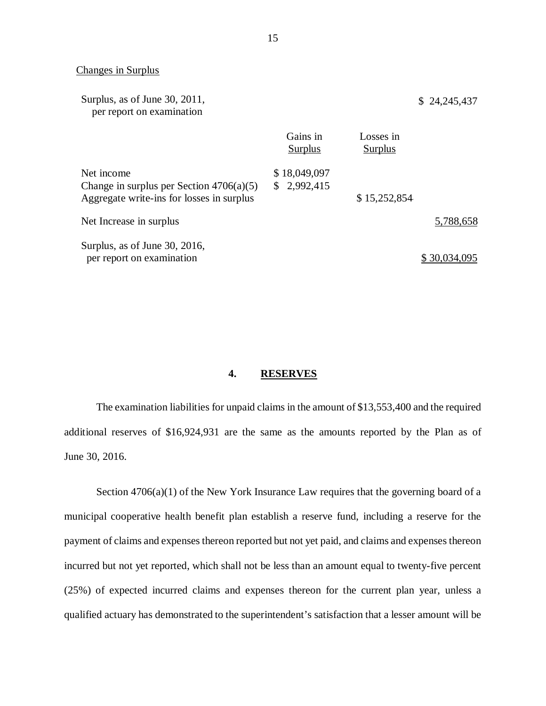#### Changes in Surplus

| Surplus, as of June 30, 2011,<br>per report on examination                                            |                             |                             | \$24,245,437 |
|-------------------------------------------------------------------------------------------------------|-----------------------------|-----------------------------|--------------|
|                                                                                                       | Gains in<br>Surplus         | Losses in<br><b>Surplus</b> |              |
| Net income<br>Change in surplus per Section $4706(a)(5)$<br>Aggregate write-ins for losses in surplus | \$18,049,097<br>\$2,992,415 | \$15,252,854                |              |
| Net Increase in surplus                                                                               |                             |                             | 5,788,658    |
| Surplus, as of June 30, 2016,<br>per report on examination                                            |                             |                             | \$30,034,095 |

#### **4. RESERVES**

 The examination liabilities for unpaid claims in the amount of \$13,553,400 and the required additional reserves of \$16,924,931 are the same as the amounts reported by the Plan as of June 30, 2016.

 Section 4706(a)(1) of the New York Insurance Law requires that the governing board of a municipal cooperative health benefit plan establish a reserve fund, including a reserve for the payment of claims and expenses thereon reported but not yet paid, and claims and expenses thereon incurred but not yet reported, which shall not be less than an amount equal to twenty-five percent (25%) of expected incurred claims and expenses thereon for the current plan year, unless a qualified actuary has demonstrated to the superintendent's satisfaction that a lesser amount will be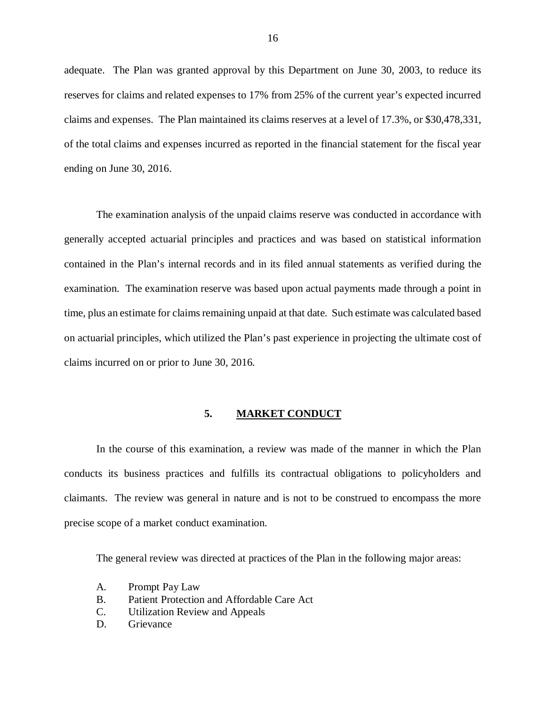adequate. The Plan was granted approval by this Department on June 30, 2003, to reduce its reserves for claims and related expenses to 17% from 25% of the current year's expected incurred claims and expenses. The Plan maintained its claims reserves at a level of 17.3%, or \$30,478,331, of the total claims and expenses incurred as reported in the financial statement for the fiscal year ending on June 30, 2016.

 The examination analysis of the unpaid claims reserve was conducted in accordance with generally accepted actuarial principles and practices and was based on statistical information contained in the Plan's internal records and in its filed annual statements as verified during the examination. The examination reserve was based upon actual payments made through a point in time, plus an estimate for claims remaining unpaid at that date. Such estimate was calculated based on actuarial principles, which utilized the Plan's past experience in projecting the ultimate cost of claims incurred on or prior to June 30, 2016.

#### **5. MARKET CONDUCT**

 conducts its business practices and fulfills its contractual obligations to policyholders and claimants. The review was general in nature and is not to be construed to encompass the more precise scope of a market conduct examination. In the course of this examination, a review was made of the manner in which the Plan

The general review was directed at practices of the Plan in the following major areas:

- A. Prompt Pay Law
- B. Patient Protection and Affordable Care Act
- C. Utilization Review and Appeals
- D. Grievance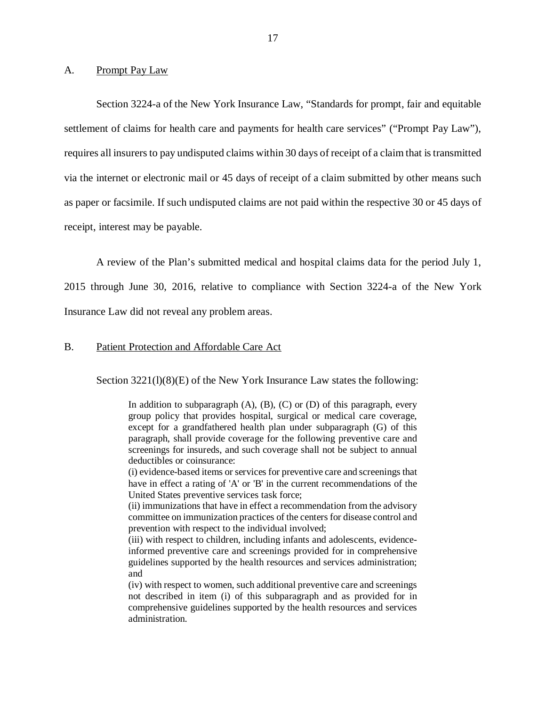#### A. Prompt Pay Law

 Section 3224-a of the New York Insurance Law, "Standards for prompt, fair and equitable settlement of claims for health care and payments for health care services" ("Prompt Pay Law"), requires all insurers to pay undisputed claims within 30 days of receipt of a claim that is transmitted via the internet or electronic mail or 45 days of receipt of a claim submitted by other means such as paper or facsimile. If such undisputed claims are not paid within the respective 30 or 45 days of receipt, interest may be payable.

 A review of the Plan's submitted medical and hospital claims data for the period July 1, 2015 through June 30, 2016, relative to compliance with Section 3224-a of the New York Insurance Law did not reveal any problem areas.

#### B. Patient Protection and Affordable Care Act

Section 3221(l)(8)(E) of the New York Insurance Law states the following:

 In addition to subparagraph (A), (B), (C) or (D) of this paragraph, every group policy that provides hospital, surgical or medical care coverage, except for a grandfathered health plan under subparagraph (G) of this paragraph, shall provide coverage for the following preventive care and screenings for insureds, and such coverage shall not be subject to annual deductibles or coinsurance:

 (i) evidence-based items or services for preventive care and screenings that have in effect a rating of 'A' or 'B' in the current recommendations of the United States preventive services task force;

 (ii) immunizations that have in effect a recommendation from the advisory committee on immunization practices of the centers for disease control and prevention with respect to the individual involved;

 (iii) with respect to children, including infants and adolescents, evidence- informed preventive care and screenings provided for in comprehensive guidelines supported by the health resources and services administration; and

 (iv) with respect to women, such additional preventive care and screenings not described in item (i) of this subparagraph and as provided for in comprehensive guidelines supported by the health resources and services administration.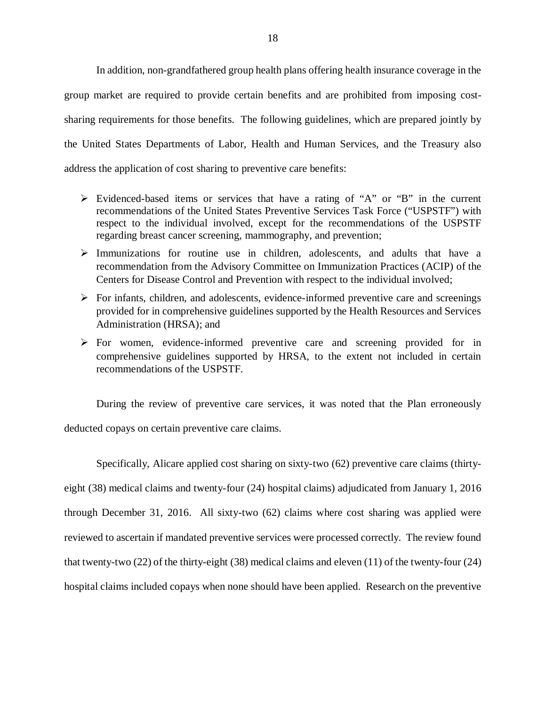In addition, non-grandfathered group health plans offering health insurance coverage in the group market are required to provide certain benefits and are prohibited from imposing cost- sharing requirements for those benefits. The following guidelines, which are prepared jointly by the United States Departments of Labor, Health and Human Services, and the Treasury also address the application of cost sharing to preventive care benefits:

- Evidenced-based items or services that have a rating of "A" or "B" in the current recommendations of the United States Preventive Services Task Force ("USPSTF") with respect to the individual involved, except for the recommendations of the USPSTF regarding breast cancer screening, mammography, and prevention;
- $\triangleright$  Immunizations for routine use in children, adolescents, and adults that have a recommendation from the Advisory Committee on Immunization Practices (ACIP) of the Centers for Disease Control and Prevention with respect to the individual involved;
- $\triangleright$  For infants, children, and adolescents, evidence-informed preventive care and screenings provided for in comprehensive guidelines supported by the Health Resources and Services Administration (HRSA); and
- $\triangleright$  For women, evidence-informed preventive care and screening provided for in comprehensive guidelines supported by HRSA, to the extent not included in certain recommendations of the USPSTF.

 During the review of preventive care services, it was noted that the Plan erroneously deducted copays on certain preventive care claims.

 Specifically, Alicare applied cost sharing on sixty-two (62) preventive care claims (thirty- eight (38) medical claims and twenty-four (24) hospital claims) adjudicated from January 1, 2016 through December 31, 2016. All sixty-two (62) claims where cost sharing was applied were reviewed to ascertain if mandated preventive services were processed correctly. The review found that twenty-two (22) of the thirty-eight (38) medical claims and eleven (11) of the twenty-four (24) hospital claims included copays when none should have been applied. Research on the preventive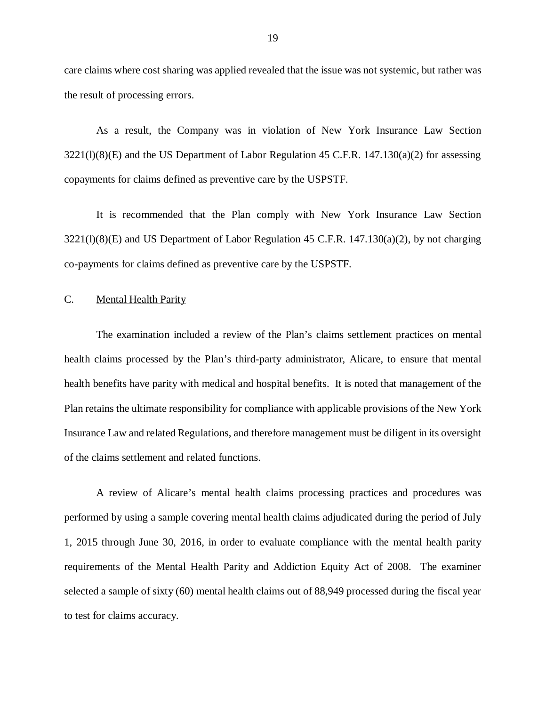care claims where cost sharing was applied revealed that the issue was not systemic, but rather was the result of processing errors.

 As a result, the Company was in violation of New York Insurance Law Section 3221(l)(8)(E) and the US Department of Labor Regulation 45 C.F.R. 147.130(a)(2) for assessing copayments for claims defined as preventive care by the USPSTF.

 It is recommended that the Plan comply with New York Insurance Law Section 3221(l)(8)(E) and US Department of Labor Regulation 45 C.F.R. 147.130(a)(2), by not charging co-payments for claims defined as preventive care by the USPSTF.

#### C. Mental Health Parity

 The examination included a review of the Plan's claims settlement practices on mental health claims processed by the Plan's third-party administrator, Alicare, to ensure that mental health benefits have parity with medical and hospital benefits. It is noted that management of the Plan retains the ultimate responsibility for compliance with applicable provisions of the New York Insurance Law and related Regulations, and therefore management must be diligent in its oversight of the claims settlement and related functions.

 A review of Alicare's mental health claims processing practices and procedures was performed by using a sample covering mental health claims adjudicated during the period of July 1, 2015 through June 30, 2016, in order to evaluate compliance with the mental health parity requirements of the Mental Health Parity and Addiction Equity Act of 2008. The examiner selected a sample of sixty (60) mental health claims out of 88,949 processed during the fiscal year to test for claims accuracy.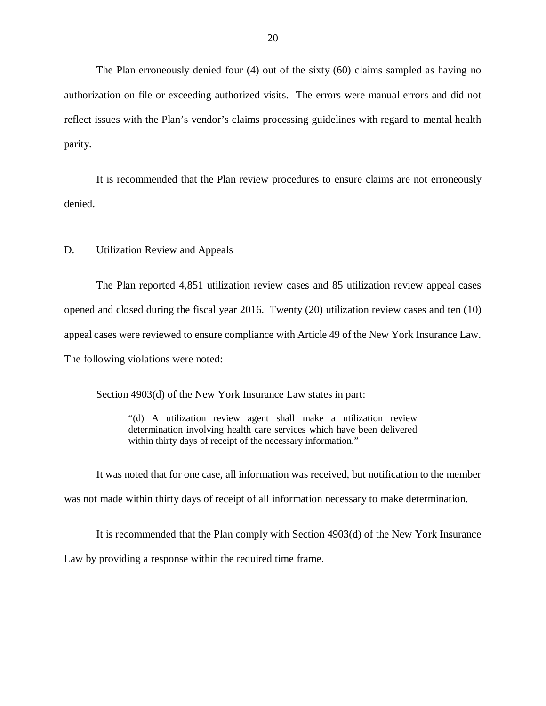The Plan erroneously denied four (4) out of the sixty (60) claims sampled as having no authorization on file or exceeding authorized visits. The errors were manual errors and did not reflect issues with the Plan's vendor's claims processing guidelines with regard to mental health parity.

 It is recommended that the Plan review procedures to ensure claims are not erroneously denied.

#### D. **Utilization Review and Appeals**

 The Plan reported 4,851 utilization review cases and 85 utilization review appeal cases opened and closed during the fiscal year 2016. Twenty (20) utilization review cases and ten (10) appeal cases were reviewed to ensure compliance with Article 49 of the New York Insurance Law. The following violations were noted:

Section 4903(d) of the New York Insurance Law states in part:

 "(d) A utilization review agent shall make a utilization review determination involving health care services which have been delivered within thirty days of receipt of the necessary information."

 It was noted that for one case, all information was received, but notification to the member was not made within thirty days of receipt of all information necessary to make determination.

 It is recommended that the Plan comply with Section 4903(d) of the New York Insurance Law by providing a response within the required time frame.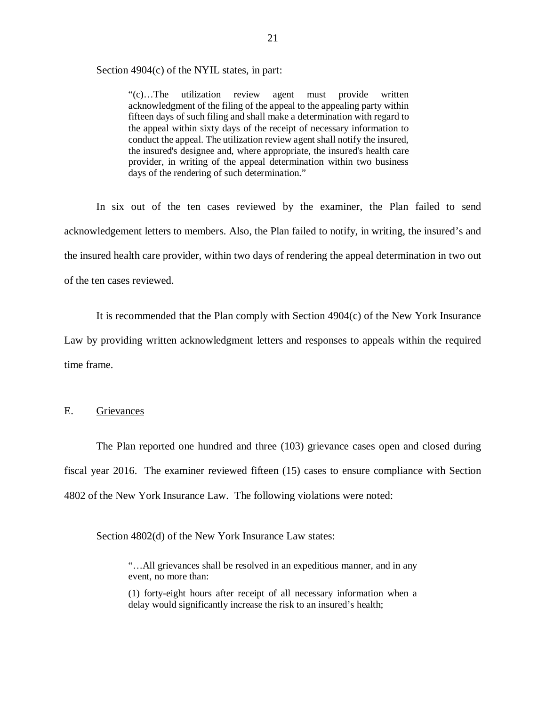Section 4904(c) of the NYIL states, in part:

 "(c)…The utilization review agent must provide written acknowledgment of the filing of the appeal to the appealing party within fifteen days of such filing and shall make a determination with regard to the appeal within sixty days of the receipt of necessary information to conduct the appeal. The utilization review agent shall notify the insured, the insured's designee and, where appropriate, the insured's health care provider, in writing of the appeal determination within two business days of the rendering of such determination."

 In six out of the ten cases reviewed by the examiner, the Plan failed to send acknowledgement letters to members. Also, the Plan failed to notify, in writing, the insured's and the insured health care provider, within two days of rendering the appeal determination in two out of the ten cases reviewed.

 It is recommended that the Plan comply with Section 4904(c) of the New York Insurance Law by providing written acknowledgment letters and responses to appeals within the required time frame.

#### Grievances

E. Grievances<br>The Plan reported one hundred and three (103) grievance cases open and closed during fiscal year 2016. The examiner reviewed fifteen (15) cases to ensure compliance with Section 4802 of the New York Insurance Law. The following violations were noted:

Section 4802(d) of the New York Insurance Law states:

 "…All grievances shall be resolved in an expeditious manner, and in any event, no more than:

 (1) forty-eight hours after receipt of all necessary information when a delay would significantly increase the risk to an insured's health;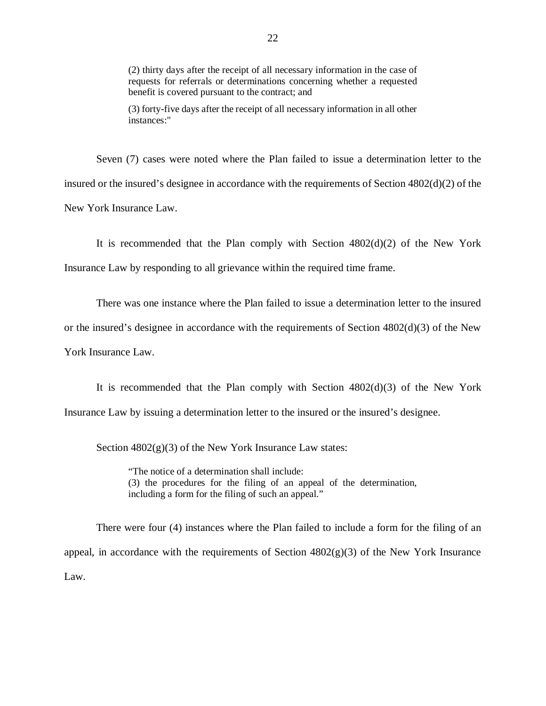(2) thirty days after the receipt of all necessary information in the case of requests for referrals or determinations concerning whether a requested benefit is covered pursuant to the contract; and

 (3) forty-five days after the receipt of all necessary information in all other instances:"

 Seven (7) cases were noted where the Plan failed to issue a determination letter to the insured or the insured's designee in accordance with the requirements of Section 4802(d)(2) of the New York Insurance Law.

 It is recommended that the Plan comply with Section 4802(d)(2) of the New York Insurance Law by responding to all grievance within the required time frame.

 There was one instance where the Plan failed to issue a determination letter to the insured or the insured's designee in accordance with the requirements of Section 4802(d)(3) of the New York Insurance Law.

 It is recommended that the Plan comply with Section 4802(d)(3) of the New York Insurance Law by issuing a determination letter to the insured or the insured's designee.

Section  $4802(g)(3)$  of the New York Insurance Law states:

 "The notice of a determination shall include: (3) the procedures for the filing of an appeal of the determination, including a form for the filing of such an appeal."

 There were four (4) instances where the Plan failed to include a form for the filing of an appeal, in accordance with the requirements of Section 4802(g)(3) of the New York Insurance Law.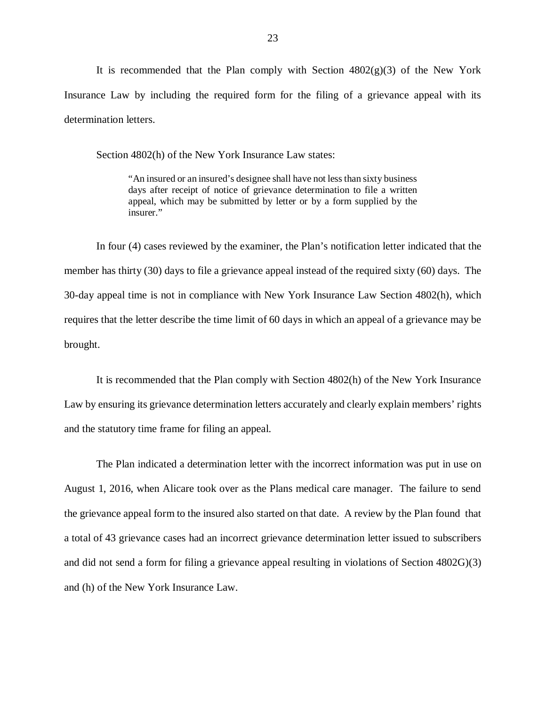It is recommended that the Plan comply with Section  $4802(g)(3)$  of the New York Insurance Law by including the required form for the filing of a grievance appeal with its determination letters.

Section 4802(h) of the New York Insurance Law states:

 "An insured or an insured's designee shall have not less than sixty business days after receipt of notice of grievance determination to file a written appeal, which may be submitted by letter or by a form supplied by the insurer."

 insurer." In four (4) cases reviewed by the examiner, the Plan's notification letter indicated that the member has thirty (30) days to file a grievance appeal instead of the required sixty (60) days. The 30-day appeal time is not in compliance with New York Insurance Law Section 4802(h), which requires that the letter describe the time limit of 60 days in which an appeal of a grievance may be brought.

 It is recommended that the Plan comply with Section 4802(h) of the New York Insurance Law by ensuring its grievance determination letters accurately and clearly explain members' rights and the statutory time frame for filing an appeal.

 The Plan indicated a determination letter with the incorrect information was put in use on August 1, 2016, when Alicare took over as the Plans medical care manager. The failure to send the grievance appeal form to the insured also started on that date. A review by the Plan found that a total of 43 grievance cases had an incorrect grievance determination letter issued to subscribers and did not send a form for filing a grievance appeal resulting in violations of Section 4802G)(3) and (h) of the New York Insurance Law.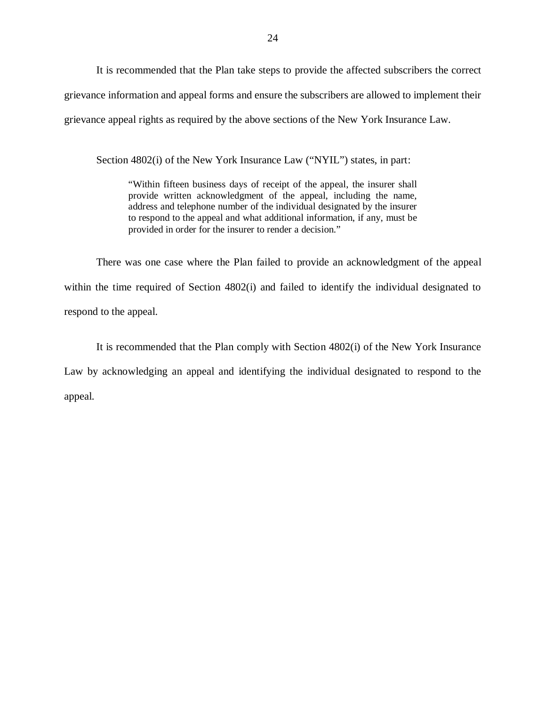It is recommended that the Plan take steps to provide the affected subscribers the correct grievance information and appeal forms and ensure the subscribers are allowed to implement their grievance appeal rights as required by the above sections of the New York Insurance Law.

Section 4802(i) of the New York Insurance Law ("NYIL") states, in part:

 "Within fifteen business days of receipt of the appeal, the insurer shall provide written acknowledgment of the appeal, including the name, address and telephone number of the individual designated by the insurer to respond to the appeal and what additional information, if any, must be provided in order for the insurer to render a decision."

 There was one case where the Plan failed to provide an acknowledgment of the appeal within the time required of Section 4802(i) and failed to identify the individual designated to respond to the appeal.

 It is recommended that the Plan comply with Section 4802(i) of the New York Insurance Law by acknowledging an appeal and identifying the individual designated to respond to the appeal.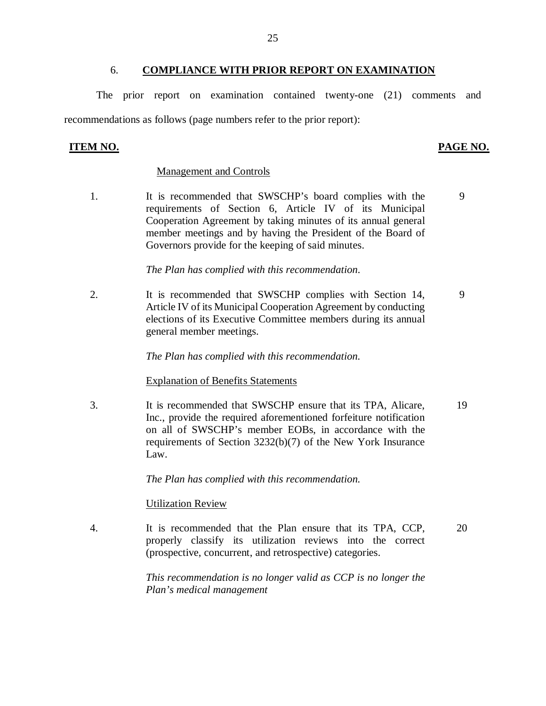#### 6. **COMPLIANCE WITH PRIOR REPORT ON EXAMINATION**

 The prior report on examination contained twenty-one (21) comments and recommendations as follows (page numbers refer to the prior report):

#### **ITEM NO.**

#### **PAGE NO.**

#### Management and Controls

1. requirements of Section 6, Article IV of its Municipal Cooperation Agreement by taking minutes of its annual general member meetings and by having the President of the Board of Governors provide for the keeping of said minutes. It is recommended that SWSCHP's board complies with the 9

 *The Plan has complied with this recommendation.* 

 $2.$  Article IV of its Municipal Cooperation Agreement by conducting elections of its Executive Committee members during its annual general member meetings. It is recommended that SWSCHP complies with Section 14, 9

 *The Plan has complied with this recommendation.* 

#### Explanation of Benefits Statements

3. Inc., provide the required aforementioned forfeiture notification on all of SWSCHP's member EOBs, in accordance with the requirements of Section 3232(b)(7) of the New York Insurance It is recommended that SWSCHP ensure that its TPA, Alicare, 19 Law.

 *The Plan has complied with this recommendation.* 

#### Utilization Review

 $\overline{4}$ . properly classify its utilization reviews into the correct (prospective, concurrent, and retrospective) categories. It is recommended that the Plan ensure that its TPA, CCP, 20

> *This recommendation is no longer valid as CCP is no longer the Plan's medical management*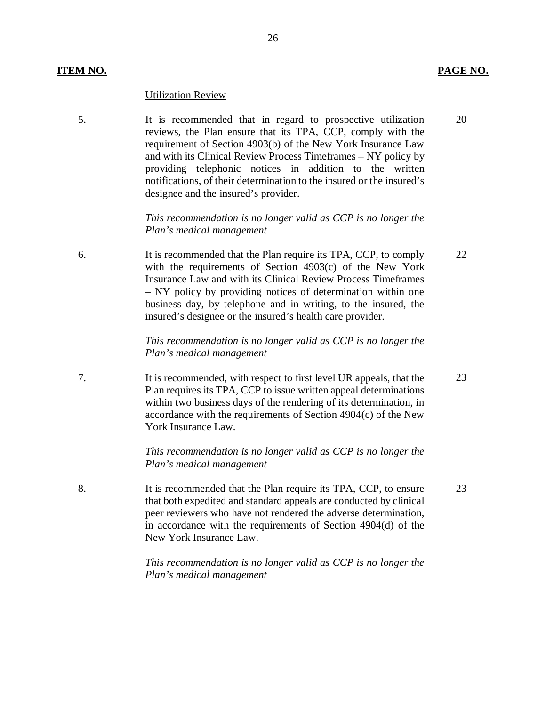#### **ITEM NO. PAGE NO.**

#### Utilization Review

 5. It is recommended that in regard to prospective utilization reviews, the Plan ensure that its TPA, CCP, comply with the requirement of Section 4903(b) of the New York Insurance Law and with its Clinical Review Process Timeframes – NY policy by providing telephonic notices in addition to the written notifications, of their determination to the insured or the insured's designee and the insured's provider.

> *This recommendation is no longer valid as CCP is no longer the Plan's medical management*

 6. It is recommended that the Plan require its TPA, CCP, to comply with the requirements of Section 4903(c) of the New York Insurance Law and with its Clinical Review Process Timeframes – NY policy by providing notices of determination within one business day, by telephone and in writing, to the insured, the insured's designee or the insured's health care provider.

> *This recommendation is no longer valid as CCP is no longer the Plan's medical management*

 7. It is recommended, with respect to first level UR appeals, that the Plan requires its TPA, CCP to issue written appeal determinations within two business days of the rendering of its determination, in accordance with the requirements of Section 4904(c) of the New York Insurance Law. 23

> *This recommendation is no longer valid as CCP is no longer the Plan's medical management*

 8. It is recommended that the Plan require its TPA, CCP, to ensure that both expedited and standard appeals are conducted by clinical peer reviewers who have not rendered the adverse determination, in accordance with the requirements of Section 4904(d) of the New York Insurance Law. 23

> *This recommendation is no longer valid as CCP is no longer the Plan's medical management*

22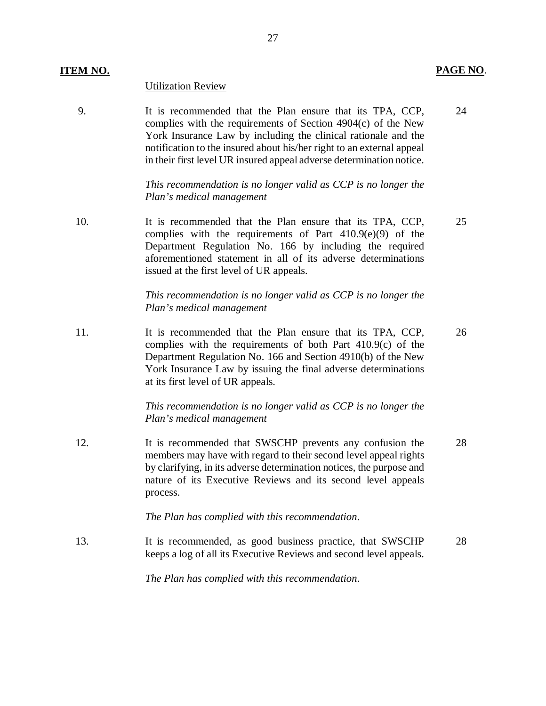#### **ITEM NO. PAGE NO**.

#### Utilization Review

 9. It is recommended that the Plan ensure that its TPA, CCP, complies with the requirements of Section 4904(c) of the New York Insurance Law by including the clinical rationale and the notification to the insured about his/her right to an external appeal in their first level UR insured appeal adverse determination notice. 24

> *This recommendation is no longer valid as CCP is no longer the Plan's medical management*

 10. It is recommended that the Plan ensure that its TPA, CCP, complies with the requirements of Part 410.9(e)(9) of the Department Regulation No. 166 by including the required aforementioned statement in all of its adverse determinations issued at the first level of UR appeals.

> *This recommendation is no longer valid as CCP is no longer the Plan's medical management*

 $11<sub>1</sub>$  complies with the requirements of both Part 410.9(c) of the Department Regulation No. 166 and Section 4910(b) of the New York Insurance Law by issuing the final adverse determinations at its first level of UR appeals. It is recommended that the Plan ensure that its TPA, CCP, 26

> *This recommendation is no longer valid as CCP is no longer the Plan's medical management*

 12. It is recommended that SWSCHP prevents any confusion the members may have with regard to their second level appeal rights by clarifying, in its adverse determination notices, the purpose and nature of its Executive Reviews and its second level appeals process. 28

 *The Plan has complied with this recommendation.* 

 13. It is recommended, as good business practice, that SWSCHP keeps a log of all its Executive Reviews and second level appeals. 28

 *The Plan has complied with this recommendation.* 

25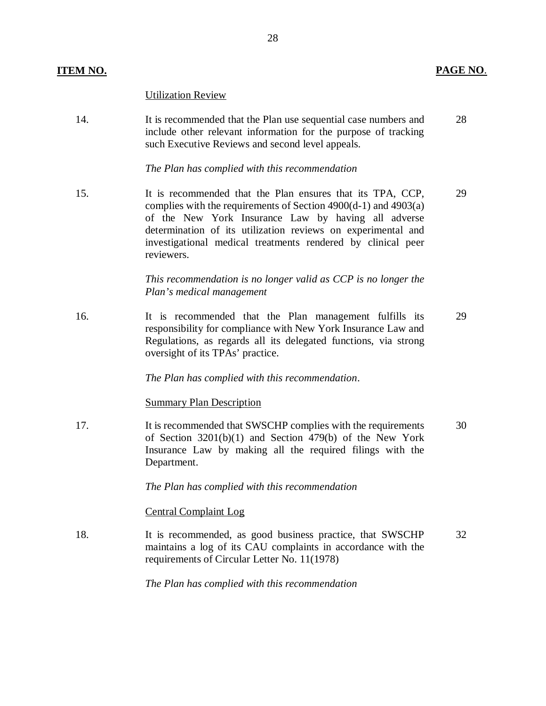#### Utilization Review

14. It is recommended that the Plan use sequential case numbers and 28 include other relevant information for the purpose of tracking such Executive Reviews and second level appeals.

 *The Plan has complied with this recommendation* 

 15. It is recommended that the Plan ensures that its TPA, CCP, 29 complies with the requirements of Section 4900(d-1) and 4903(a) of the New York Insurance Law by having all adverse determination of its utilization reviews on experimental and investigational medical treatments rendered by clinical peer reviewers.

> *This recommendation is no longer valid as CCP is no longer the Plan's medical management*

 $16<sub>1</sub>$  responsibility for compliance with New York Insurance Law and Regulations, as regards all its delegated functions, via strong oversight of its TPAs' practice. It is recommended that the Plan management fulfills its 29

 *The Plan has complied with this recommendation*.

#### **Summary Plan Description**

17. It is recommended that SWSCHP complies with the requirements 30 of Section 3201(b)(1) and Section 479(b) of the New York Insurance Law by making all the required filings with the Department.

 *The Plan has complied with this recommendation* 

#### Central Complaint Log

18. It is recommended, as good business practice, that SWSCHP 32 maintains a log of its CAU complaints in accordance with the requirements of Circular Letter No. 11(1978)

 *The Plan has complied with this recommendation*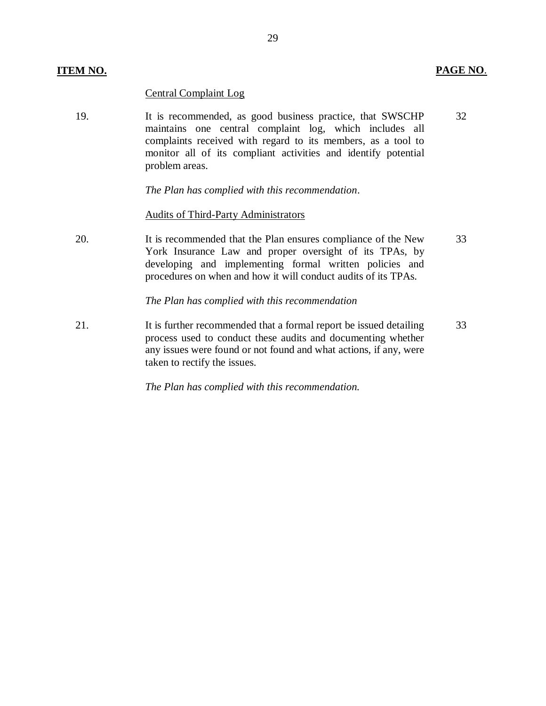Central Complaint Log

 19. It is recommended, as good business practice, that SWSCHP 32 maintains one central complaint log, which includes all complaints received with regard to its members, as a tool to monitor all of its compliant activities and identify potential problem areas.

 *The Plan has complied with this recommendation*.

#### Audits of Third-Party Administrators

 20. It is recommended that the Plan ensures compliance of the New 33 York Insurance Law and proper oversight of its TPAs, by developing and implementing formal written policies and procedures on when and how it will conduct audits of its TPAs.

#### *The Plan has complied with this recommendation*

21. It is further recommended that a formal report be issued detailing 33 process used to conduct these audits and documenting whether any issues were found or not found and what actions, if any, were taken to rectify the issues.

 *The Plan has complied with this recommendation.*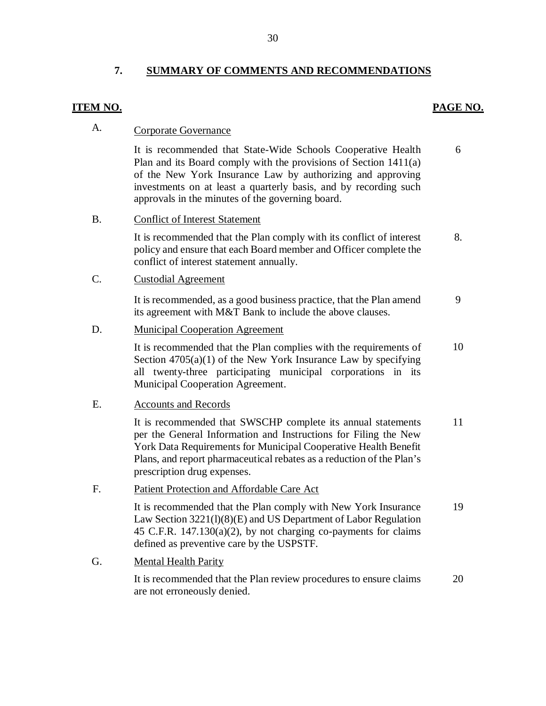# 7. SUMMARY OF COMMENTS AND RECOMMENDATIONS<br>ITEM NO. **PAGE NO.**

6

#### A. Corporate Governance

 It is recommended that State-Wide Schools Cooperative Health Plan and its Board comply with the provisions of Section 1411(a) of the New York Insurance Law by authorizing and approving investments on at least a quarterly basis, and by recording such approvals in the minutes of the governing board.

#### B. Conflict of Interest Statement

It is recommended that the Plan comply with its conflict of interest 8. policy and ensure that each Board member and Officer complete the conflict of interest statement annually.

#### C. Custodial Agreement

 its agreement with M&T Bank to include the above clauses. It is recommended, as a good business practice, that the Plan amend 9

#### D. Municipal Cooperation Agreement

It is recommended that the Plan complies with the requirements of 10 Section 4705(a)(1) of the New York Insurance Law by specifying all twenty-three participating municipal corporations in its Municipal Cooperation Agreement.

#### E. Accounts and Records

It is recommended that SWSCHP complete its annual statements 11 per the General Information and Instructions for Filing the New York Data Requirements for Municipal Cooperative Health Benefit Plans, and report pharmaceutical rebates as a reduction of the Plan's prescription drug expenses.

## prescription drug expenses.<br>F. Patient Protection and Affordable Care Act

It is recommended that the Plan comply with New York Insurance 19 Law Section 3221(l)(8)(E) and US Department of Labor Regulation 45 C.F.R. 147.130(a)(2), by not charging co-payments for claims defined as preventive care by the USPSTF.

#### G. Mental Health Parity

 It is recommended that the Plan review procedures to ensure claims 20 are not erroneously denied.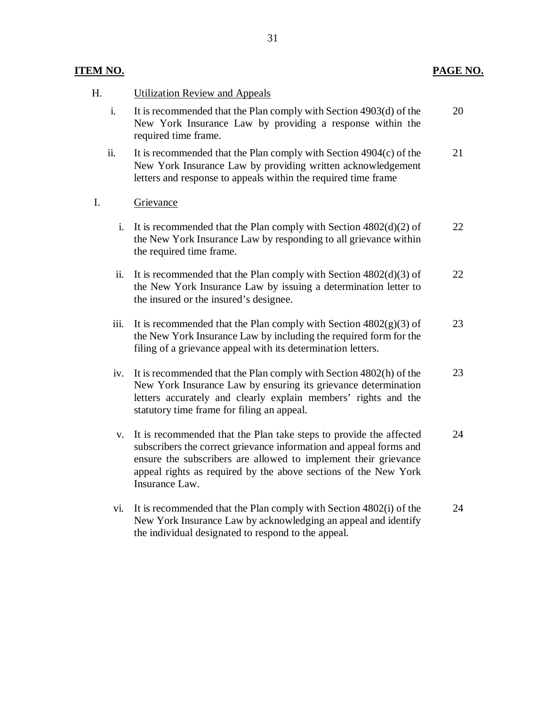#### **ITEM NO.**

#### H. **Utilization Review and Appeals**

- $\mathbf{i}$ . New York Insurance Law by providing a response within the required time frame. It is recommended that the Plan comply with Section  $4903(d)$  of the 20
- ii. New York Insurance Law by providing written acknowledgement letters and response to appeals within the required time frame It is recommended that the Plan comply with Section  $4904(c)$  of the 21

#### I. Grievance

- i. It is recommended that the Plan comply with Section  $4802(d)(2)$  of the New York Insurance Law by responding to all grievance within the required time frame. 22
- ii. It is recommended that the Plan comply with Section  $4802(d)(3)$  of the New York Insurance Law by issuing a determination letter to the insured or the insured's designee. 22
- iii. It is recommended that the Plan comply with Section  $4802(g)(3)$  of the New York Insurance Law by including the required form for the filing of a grievance appeal with its determination letters. 23
- iv. It is recommended that the Plan comply with Section 4802(h) of the New York Insurance Law by ensuring its grievance determination letters accurately and clearly explain members' rights and the statutory time frame for filing an appeal. 23
- v. It is recommended that the Plan take steps to provide the affected subscribers the correct grievance information and appeal forms and ensure the subscribers are allowed to implement their grievance appeal rights as required by the above sections of the New York Insurance Law. 24
- vi. It is recommended that the Plan comply with Section 4802(i) of the New York Insurance Law by acknowledging an appeal and identify the individual designated to respond to the appeal. 24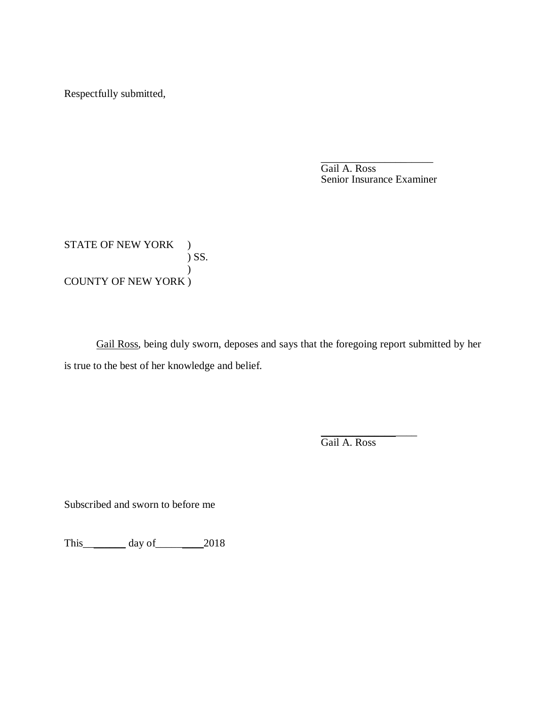Respectfully submitted,

 Gail A. Ross Senior Insurance Examiner \_\_\_\_\_\_\_\_\_\_\_\_\_\_\_\_\_\_\_\_\_

STATE OF NEW YORK ) COUNTY OF NEW YORK )  $\big)$  SS.  $\mathcal{L}$ 

 is true to the best of her knowledge and belief. Gail Ross, being duly sworn, deposes and says that the foregoing report submitted by her

> \_\_\_\_\_\_\_\_\_\_\_\_\_\_\_\_\_\_ Gail A. Ross

Subscribed and sworn to before me

This\_\_\_\_\_\_\_\_ day of\_\_\_\_\_\_\_\_\_2018